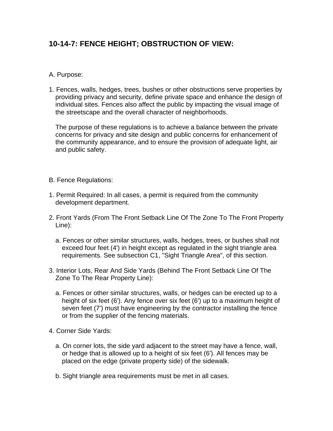## **10-14-7: FENCE HEIGHT; OBSTRUCTION OF VIEW:**

## A. Purpose:

1. Fences, walls, hedges, trees, bushes or other obstructions serve properties by providing privacy and security, define private space and enhance the design of individual sites. Fences also affect the public by impacting the visual image of the streetscape and the overall character of neighborhoods.

The purpose of these regulations is to achieve a balance between the private concerns for privacy and site design and public concerns for enhancement of the community appearance, and to ensure the provision of adequate light, air and public safety.

- B. Fence Regulations:
- 1. Permit Required: In all cases, a permit is required from the community development department.
- 2. Front Yards (From The Front Setback Line Of The Zone To The Front Property Line):
	- a. Fences or other similar structures, walls, hedges, trees, or bushes shall not exceed four feet (4') in height except as regulated in the sight triangle area requirements. See subsection C1, "Sight Triangle Area", of this section.
- 3. Interior Lots, Rear And Side Yards (Behind The Front Setback Line Of The Zone To The Rear Property Line):
	- a. Fences or other similar structures, walls, or hedges can be erected up to a height of six feet (6'). Any fence over six feet (6') up to a maximum height of seven feet (7') must have engineering by the contractor installing the fence or from the supplier of the fencing materials.
- 4. Corner Side Yards:
	- a. On corner lots, the side yard adjacent to the street may have a fence, wall, or hedge that is allowed up to a height of six feet (6'). All fences may be placed on the edge (private property side) of the sidewalk.
	- b. Sight triangle area requirements must be met in all cases.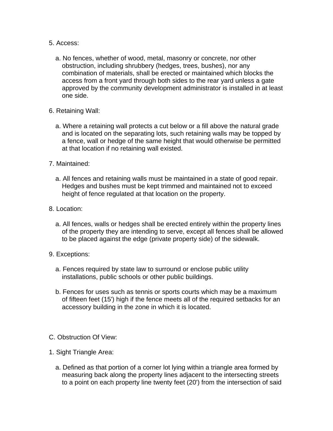- 5. Access:
	- a. No fences, whether of wood, metal, masonry or concrete, nor other obstruction, including shrubbery (hedges, trees, bushes), nor any combination of materials, shall be erected or maintained which blocks the access from a front yard through both sides to the rear yard unless a gate approved by the community development administrator is installed in at least one side.
- 6. Retaining Wall:
	- a. Where a retaining wall protects a cut below or a fill above the natural grade and is located on the separating lots, such retaining walls may be topped by a fence, wall or hedge of the same height that would otherwise be permitted at that location if no retaining wall existed.
- 7. Maintained:
	- a. All fences and retaining walls must be maintained in a state of good repair. Hedges and bushes must be kept trimmed and maintained not to exceed height of fence regulated at that location on the property.
- 8. Location:
	- a. All fences, walls or hedges shall be erected entirely within the property lines of the property they are intending to serve, except all fences shall be allowed to be placed against the edge (private property side) of the sidewalk.
- 9. Exceptions:
	- a. Fences required by state law to surround or enclose public utility installations, public schools or other public buildings.
	- b. Fences for uses such as tennis or sports courts which may be a maximum of fifteen feet (15') high if the fence meets all of the required setbacks for an accessory building in the zone in which it is located.
- C. Obstruction Of View:
- 1. Sight Triangle Area:
	- a. Defined as that portion of a corner lot lying within a triangle area formed by measuring back along the property lines adjacent to the intersecting streets to a point on each property line twenty feet (20') from the intersection of said